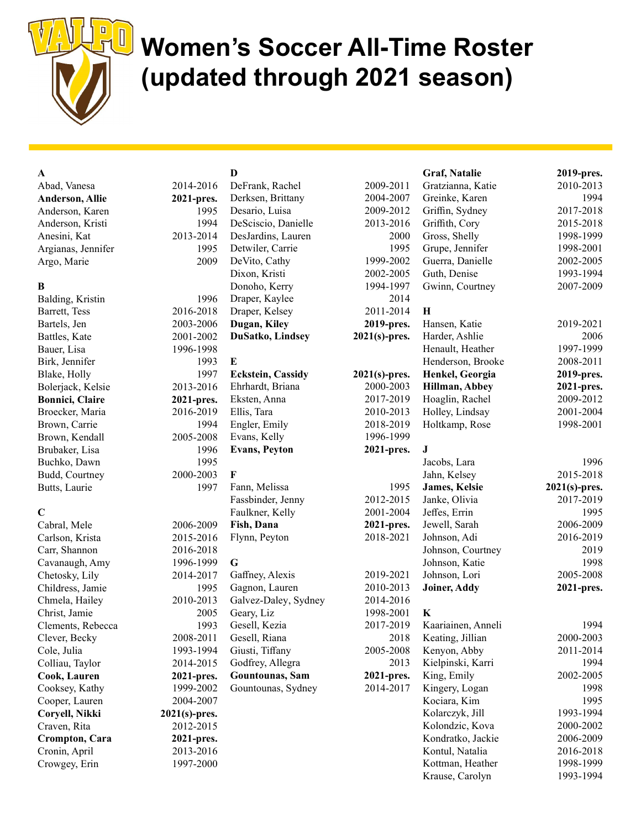

# Women's Soccer All-Time Roster (updated through 2021 season)

| $\mathbf A$             |                  | $\mathbf{D}$             |                  | Graf, Natalie      | 2019-pres.       |
|-------------------------|------------------|--------------------------|------------------|--------------------|------------------|
| Abad, Vanesa            | 2014-2016        | DeFrank, Rachel          | 2009-2011        | Gratzianna, Katie  | 2010-2013        |
| <b>Anderson, Allie</b>  | 2021-pres.       | Derksen, Brittany        | 2004-2007        | Greinke, Karen     | 1994             |
| Anderson, Karen         | 1995             | Desario, Luisa           | 2009-2012        | Griffin, Sydney    | 2017-2018        |
| Anderson, Kristi        | 1994             | DeSciscio, Danielle      | 2013-2016        | Griffith, Cory     | 2015-2018        |
| Anesini, Kat            | 2013-2014        | DesJardins, Lauren       | 2000             | Gross, Shelly      | 1998-1999        |
| Argianas, Jennifer      | 1995             | Detwiler, Carrie         | 1995             | Grupe, Jennifer    | 1998-2001        |
| Argo, Marie             | 2009             | DeVito, Cathy            | 1999-2002        | Guerra, Danielle   | 2002-2005        |
|                         |                  | Dixon, Kristi            | 2002-2005        | Guth, Denise       | 1993-1994        |
| B                       |                  | Donoho, Kerry            | 1994-1997        | Gwinn, Courtney    | 2007-2009        |
| Balding, Kristin        | 1996             | Draper, Kaylee           | 2014             |                    |                  |
| Barrett, Tess           | 2016-2018        | Draper, Kelsey           | 2011-2014        | $\mathbf H$        |                  |
| Bartels, Jen            | 2003-2006        | Dugan, Kiley             | 2019-pres.       | Hansen, Katie      | 2019-2021        |
| Battles, Kate           | 2001-2002        | DuSatko, Lindsey         | $2021(s)$ -pres. | Harder, Ashlie     | 2006             |
| Bauer, Lisa             | 1996-1998        |                          |                  | Henault, Heather   | 1997-1999        |
| Birk, Jennifer          | 1993             | $\bf{E}$                 |                  | Henderson, Brooke  | 2008-2011        |
| Blake, Holly            | 1997             | <b>Eckstein, Cassidy</b> | $2021(s)$ -pres. | Henkel, Georgia    | 2019-pres.       |
| Bolerjack, Kelsie       | 2013-2016        | Ehrhardt, Briana         | 2000-2003        | Hillman, Abbey     | 2021-pres.       |
| <b>Bonnici</b> , Claire | 2021-pres.       | Eksten, Anna             | 2017-2019        | Hoaglin, Rachel    | 2009-2012        |
| Broecker, Maria         | 2016-2019        | Ellis, Tara              | 2010-2013        | Holley, Lindsay    | 2001-2004        |
| Brown, Carrie           | 1994             | Engler, Emily            | 2018-2019        | Holtkamp, Rose     | 1998-2001        |
| Brown, Kendall          | 2005-2008        | Evans, Kelly             | 1996-1999        |                    |                  |
| Brubaker, Lisa          | 1996             | <b>Evans, Peyton</b>     | 2021-pres.       | J                  |                  |
| Buchko, Dawn            | 1995             |                          |                  | Jacobs, Lara       | 1996             |
| Budd, Courtney          | 2000-2003        | F                        |                  | Jahn, Kelsey       | 2015-2018        |
| Butts, Laurie           | 1997             | Fann, Melissa            | 1995             | James, Kelsie      | $2021(s)$ -pres. |
|                         |                  | Fassbinder, Jenny        | 2012-2015        | Janke, Olivia      | 2017-2019        |
| $\mathbf C$             |                  | Faulkner, Kelly          | 2001-2004        | Jeffes, Errin      | 1995             |
| Cabral, Mele            | 2006-2009        | Fish, Dana               | 2021-pres.       | Jewell, Sarah      | 2006-2009        |
| Carlson, Krista         | 2015-2016        | Flynn, Peyton            | 2018-2021        | Johnson, Adi       | 2016-2019        |
| Carr, Shannon           | 2016-2018        |                          |                  | Johnson, Courtney  | 2019             |
| Cavanaugh, Amy          | 1996-1999        | $\mathbf G$              |                  | Johnson, Katie     | 1998             |
| Chetosky, Lily          | 2014-2017        | Gaffney, Alexis          | 2019-2021        | Johnson, Lori      | 2005-2008        |
| Childress, Jamie        | 1995             | Gagnon, Lauren           | 2010-2013        | Joiner, Addy       | 2021-pres.       |
| Chmela, Hailey          | 2010-2013        | Galvez-Daley, Sydney     | 2014-2016        |                    |                  |
| Christ, Jamie           | 2005             | Geary, Liz               | 1998-2001        | $\bf K$            |                  |
| Clements, Rebecca       | 1993             | Gesell, Kezia            | 2017-2019        | Kaariainen, Anneli | 1994             |
| Clever, Becky           | 2008-2011        | Gesell, Riana            | 2018             | Keating, Jillian   | 2000-2003        |
| Cole, Julia             | 1993-1994        | Giusti, Tiffany          | 2005-2008        | Kenyon, Abby       | 2011-2014        |
| Colliau, Taylor         | 2014-2015        | Godfrey, Allegra         | 2013             | Kielpinski, Karri  | 1994             |
| Cook, Lauren            | 2021-pres.       | Gountounas, Sam          | 2021-pres.       | King, Emily        | 2002-2005        |
| Cooksey, Kathy          | 1999-2002        | Gountounas, Sydney       | 2014-2017        | Kingery, Logan     | 1998             |
| Cooper, Lauren          | 2004-2007        |                          |                  | Kociara, Kim       | 1995             |
| Coryell, Nikki          | $2021(s)$ -pres. |                          |                  | Kolarczyk, Jill    | 1993-1994        |
| Craven, Rita            | 2012-2015        |                          |                  | Kolondzic, Kova    | 2000-2002        |
| Crompton, Cara          | 2021-pres.       |                          |                  | Kondratko, Jackie  | 2006-2009        |
| Cronin, April           | 2013-2016        |                          |                  | Kontul, Natalia    | 2016-2018        |
| Crowgey, Erin           | 1997-2000        |                          |                  | Kottman, Heather   | 1998-1999        |
|                         |                  |                          |                  | Krause, Carolyn    | 1993-1994        |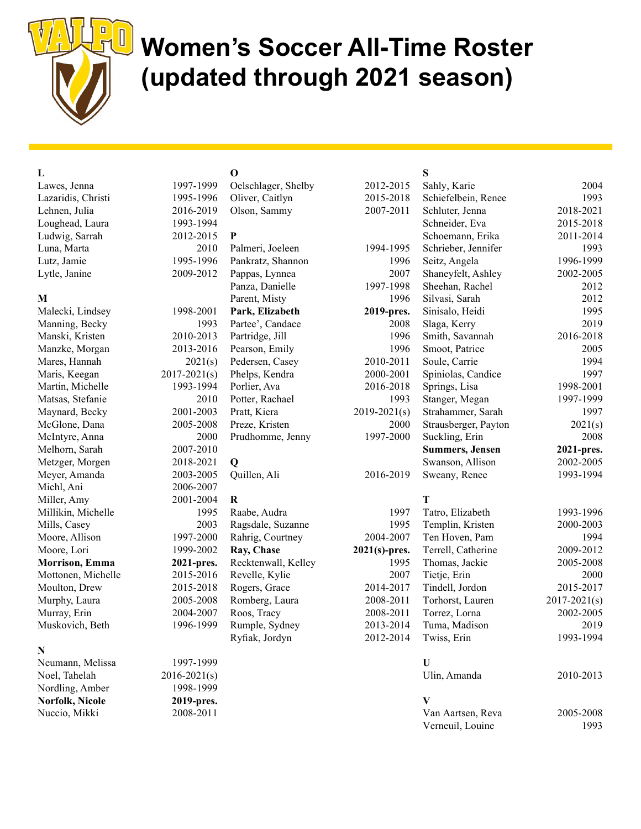

## Women's Soccer All-Time Roster (updated through 2021 season)

## L

Lawes, Jenna 1997-19 Lazaridis, Christi 1995-1 Lehnen, Julia 2016-20 Loughead, Laura 1993-19 Ludwig, Sarrah 2012-20 Luna, Marta 2010 Lutz, Jamie 1995-19 Lytle, Janine  $2009-20$ 

### M

Malecki, Lindsey 1998-2001 Manning, Becky 1993 Manski, Kristen 2010-20 Manzke, Morgan 2013-20 Mares, Hannah 2021 Maris, Keegan 2017-2021 Martin, Michelle 1993-1 Matsas, Stefanie 2012 Maynard, Becky 2001-20 McGlone, Dana 2005-20 McIntyre, Anna 2000 Melhorn, Sarah 2007-20 Metzger, Morgen 2018-20 Meyer, Amanda 2003-20 Michl, Ani 2006-2007 Miller, Amy 2001-2001 Millikin, Michelle 19 Mills, Casey 2003 Moore, Allison 1997-20 Moore, Lori 1999-2002 Morrison, Emma 2021-pr Mottonen, Michelle 2015-20 Moulton, Drew 2015-20 Murphy, Laura 2005-20 Murray, Erin 2004-2004 Muskovich, Beth 1996-19

### N

Neumann, Melissa 1997-19 Noel, Tahelah 2016-2021(s) Nordling, Amber 1998-1999 Norfolk, Nicole 2019-pres. Nuccio, Mikki 2008-2011

## O

| 999  | Oelschlager, Shelby | 2012-2015        |
|------|---------------------|------------------|
| 996  | Oliver, Caitlyn     | 2015-2018        |
| 019  | Olson, Sammy        | 2007-2011        |
| 994  |                     |                  |
| 015  | P                   |                  |
| 010  | Palmeri, Joeleen    | 1994-1995        |
| 996  | Pankratz, Shannon   | 1996             |
| 012  | Pappas, Lynnea      | 2007             |
|      | Panza, Danielle     | 1997-1998        |
|      | Parent, Misty       | 1996             |
| 001  | Park, Elizabeth     | 2019-pres.       |
| 993  | Partee', Candace    | 2008             |
| 013  | Partridge, Jill     | 1996             |
| 016  | Pearson, Emily      | 1996             |
| 1(s) | Pedersen, Casey     | 2010-2011        |
| 1(s) | Phelps, Kendra      | 2000-2001        |
| 994  | Porlier, Ava        | 2016-2018        |
| 010  | Potter, Rachael     | 1993             |
| 003  | Pratt, Kiera        | $2019 - 2021(s)$ |
| 008  | Preze, Kristen      | 2000             |
| 000  | Prudhomme, Jenny    | 1997-2000        |
| 010  |                     |                  |
| 021  | $\mathbf 0$         |                  |
| 005  | Quillen, Ali        | 2016-2019        |
| 007  |                     |                  |
| 004  | $\bf R$             |                  |
| 995  | Raabe, Audra        | 1997             |
| 003  | Ragsdale, Suzanne   | 1995             |
| 000  | Rahrig, Courtney    | 2004-2007        |
| 002  | Ray, Chase          | $2021(s)$ -pres. |
| res. | Recktenwall, Kelley | 1995             |
| 016  | Revelle, Kylie      | 2007             |
| 018  | Rogers, Grace       | 2014-2017        |
| 008  | Romberg, Laura      | 2008-2011        |
| 007  | Roos, Tracy         | 2008-2011        |
| 999  | Rumple, Sydney      | 2013-2014        |
|      | Ryfiak, Jordyn      | 2012-2014        |
| 999  |                     |                  |

### S

| 2012-2015        | Sahly, Karie           | 2004             |
|------------------|------------------------|------------------|
| 2015-2018        | Schiefelbein, Renee    | 1993             |
| 2007-2011        | Schluter, Jenna        | 2018-2021        |
|                  | Schneider, Eva         | 2015-2018        |
|                  | Schoemann, Erika       | 2011-2014        |
| 1994-1995        | Schrieber, Jennifer    | 1993             |
| 1996             | Seitz, Angela          | 1996-1999        |
| 2007             | Shaneyfelt, Ashley     | 2002-2005        |
| 1997-1998        | Sheehan, Rachel        | 2012             |
| 1996             | Silvasi, Sarah         | 2012             |
| 2019-pres.       | Sinisalo, Heidi        | 1995             |
| 2008             | Slaga, Kerry           | 2019             |
| 1996             | Smith, Savannah        | 2016-2018        |
| 1996             | Smoot, Patrice         | 2005             |
| 2010-2011        | Soule, Carrie          | 1994             |
| 2000-2001        | Spiniolas, Candice     | 1997             |
| 2016-2018        | Springs, Lisa          | 1998-2001        |
| 1993             | Stanger, Megan         | 1997-1999        |
| $2019 - 2021(s)$ | Strahammer, Sarah      | 1997             |
| 2000             | Strausberger, Payton   | 2021(s)          |
| 1997-2000        | Suckling, Erin         | 2008             |
|                  | <b>Summers, Jensen</b> | 2021-pres.       |
|                  | Swanson, Allison       | 2002-2005        |
| 2016-2019        | Sweany, Renee          | 1993-1994        |
|                  | T                      |                  |
| 1997             | Tatro, Elizabeth       | 1993-1996        |
| 1995             | Templin, Kristen       | 2000-2003        |
| 2004-2007        | Ten Hoven, Pam         | 1994             |
| $2021(s)$ -pres. | Terrell, Catherine     | 2009-2012        |
| 1995             | Thomas, Jackie         | 2005-2008        |
| 2007             | Tietje, Erin           | 2000             |
| 2014-2017        | Tindell, Jordon        | 2015-2017        |
| 2008-2011        | Torhorst, Lauren       | $2017 - 2021(s)$ |
| 2008-2011        | Torrez, Lorna          | 2002-2005        |
| 2013-2014        | Tuma, Madison          | 2019             |
| 2012-2014        | Twiss, Erin            | 1993-1994        |
|                  | U                      |                  |
|                  | Ulin, Amanda           | 2010-2013        |
|                  | V                      |                  |
|                  | Van Aartsen, Reva      | 2005-2008        |
|                  | Verneuil, Louine       | 1993             |
|                  |                        |                  |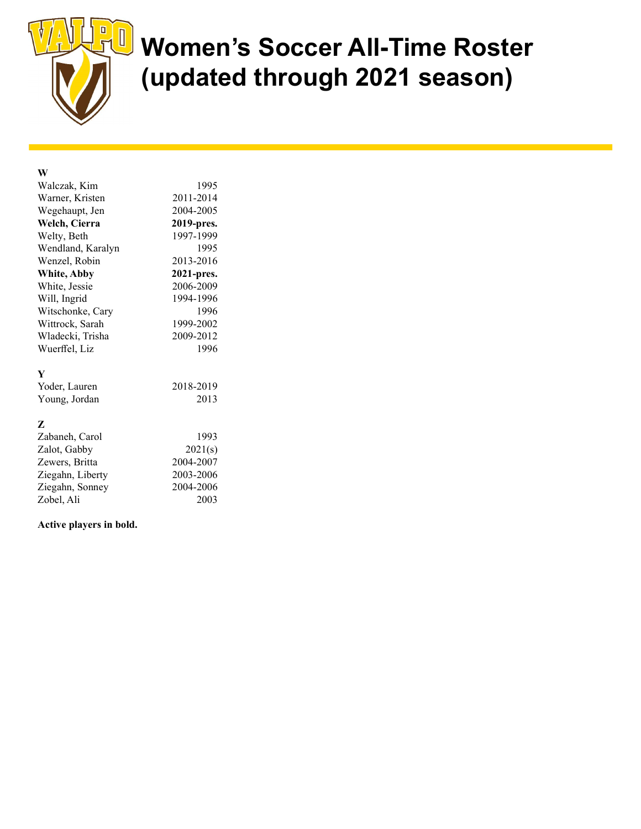

# U Women's Soccer All-Time Roster (updated through 2021 season)

## W

| Walczak, Kim      | 1995       |
|-------------------|------------|
| Warner, Kristen   | 2011-2014  |
| Wegehaupt, Jen    | 2004-2005  |
| Welch, Cierra     | 2019-pres. |
| Welty, Beth       | 1997-1999  |
| Wendland, Karalyn | 1995       |
| Wenzel, Robin     | 2013-2016  |
| White, Abby       | 2021-pres. |
| White, Jessie     | 2006-2009  |
| Will, Ingrid      | 1994-1996  |
| Witschonke, Cary  | 1996       |
| Wittrock, Sarah   | 1999-2002  |
| Wladecki, Trisha  | 2009-2012  |
| Wuerffel, Liz     | 1996       |
| Y                 |            |
| Yoder, Lauren     | 2018-2019  |
| Young, Jordan     | 2013       |
| Z                 |            |
| Zabaneh, Carol    | 1993       |
| Zalot, Gabby      | 2021(s)    |
| Zewers, Britta    | 2004-2007  |
| Ziegahn, Liberty  | 2003-2006  |
| Ziegahn, Sonney   | 2004-2006  |
| Zobel, Ali        | 2003       |

#### Active players in bold.